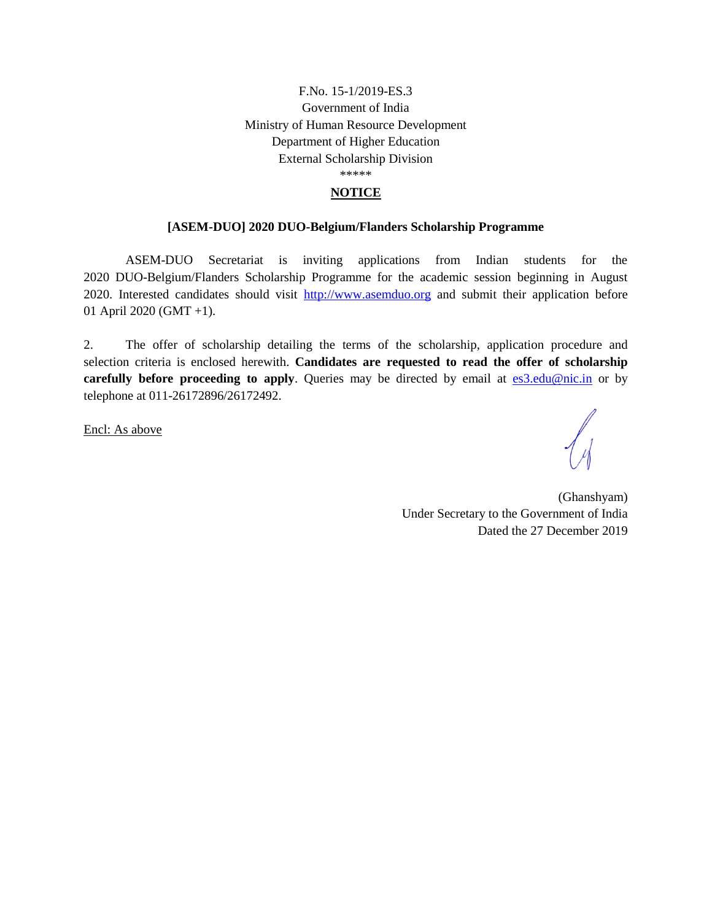## F.No. 15-1/2019-ES.3 Government of India Ministry of Human Resource Development Department of Higher Education External Scholarship Division \*\*\*\*\*

#### **NOTICE**

#### **[ASEM-DUO] 2020 DUO-Belgium/Flanders Scholarship Programme**

ASEM-DUO Secretariat is inviting applications from Indian students for the 2020 DUO-Belgium/Flanders Scholarship Programme for the academic session beginning in August 2020. Interested candidates should visit [http://www.asemduo.org](http://www.asemduo.org/) and submit their application before 01 April 2020 (GMT +1).

2. The offer of scholarship detailing the terms of the scholarship, application procedure and selection criteria is enclosed herewith. **Candidates are requested to read the offer of scholarship carefully before proceeding to apply**. Queries may be directed by email at **[es3.edu@nic.in](mailto:es3.edu@nic.in)** or by telephone at 011-26172896/26172492.

Encl: As above

(Ghanshyam) Under Secretary to the Government of India Dated the 27 December 2019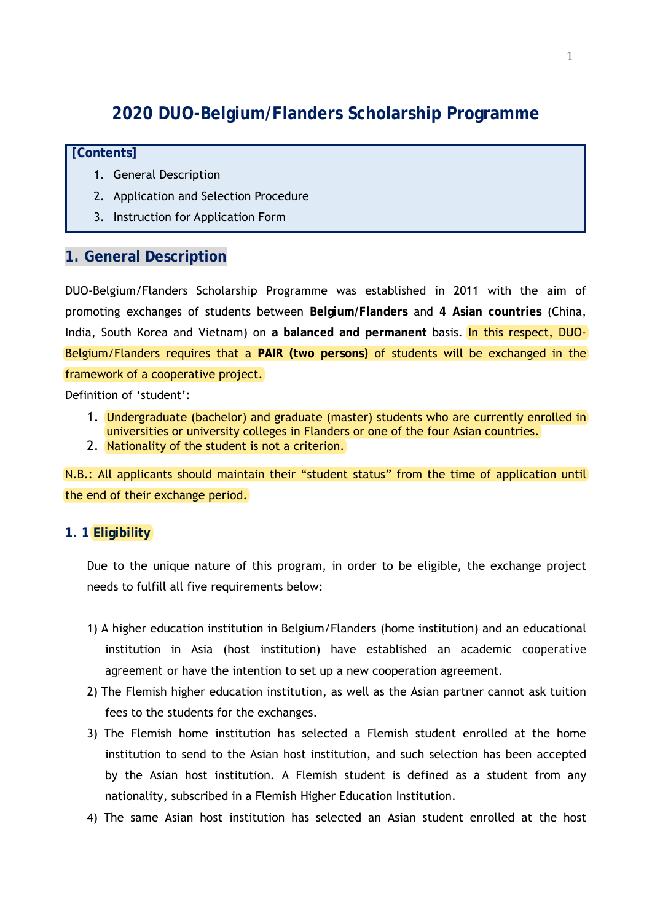# **2020 DUO-Belgium/Flanders Scholarship Programme**

## **[Contents]**

- 1. General Description
- 2. Application and Selection Procedure
- 3. Instruction for Application Form

# **1. General Description**

DUO-Belgium/Flanders Scholarship Programme was established in 2011 with the aim of promoting exchanges of students between **Belgium/Flanders** and **4 Asian countries** (China, India, South Korea and Vietnam) on **a balanced and permanent** basis. In this respect, DUO-Belgium/Flanders requires that a **PAIR (two persons)** of students will be exchanged in the framework of a cooperative project.

Definition of 'student':

- 1. Undergraduate (bachelor) and graduate (master) students who are currently enrolled in universities or university colleges in Flanders or one of the four Asian countries.
- 2. Nationality of the student is not a criterion.

N.B.: All applicants should maintain their "student status" from the time of application until the end of their exchange period.

# **1. 1 Eligibility**

Due to the unique nature of this program, in order to be eligible, the exchange project needs to fulfill all five requirements below:

- 1) A higher education institution in Belgium/Flanders (home institution) and an educational institution in Asia (host institution) have established an academic *cooperative agreement* or have the intention to set up a new cooperation agreement.
- 2) The Flemish higher education institution, as well as the Asian partner cannot ask tuition fees to the students for the exchanges.
- 3) The Flemish home institution has selected a Flemish student enrolled at the home institution to send to the Asian host institution, and such selection has been accepted by the Asian host institution. A Flemish student is defined as a student from any nationality, subscribed in a Flemish Higher Education Institution.
- 4) The same Asian host institution has selected an Asian student enrolled at the host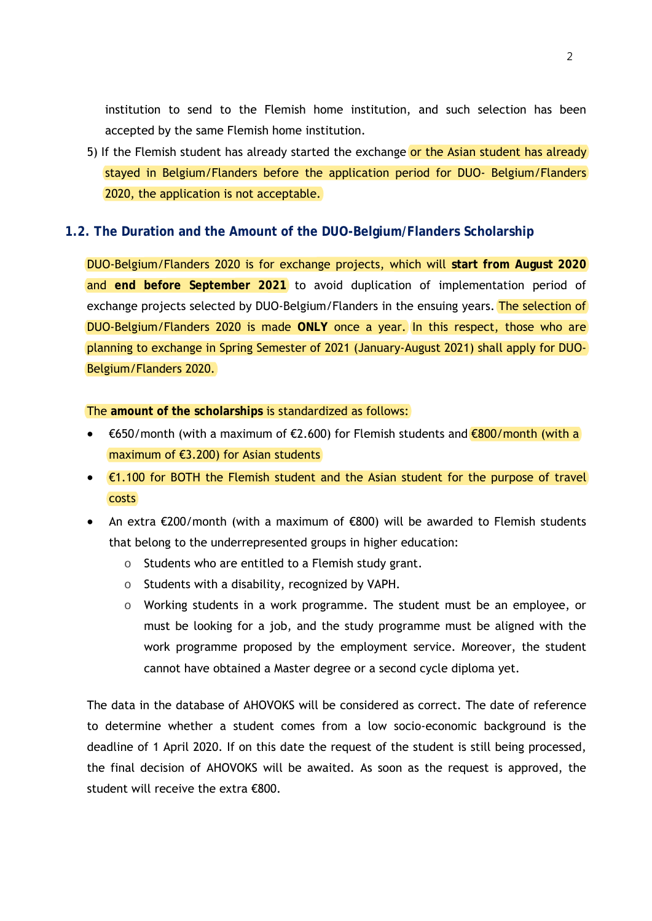institution to send to the Flemish home institution, and such selection has been accepted by the same Flemish home institution.

5) If the Flemish student has already started the exchange or the Asian student has already stayed in Belgium/Flanders before the application period for DUO- Belgium/Flanders 2020, the application is not acceptable.

## **1.2. The Duration and the Amount of the DUO-Belgium/Flanders Scholarship**

DUO-Belgium/Flanders 2020 is for exchange projects, which will **start from August 2020**  and **end before September 2021** to avoid duplication of implementation period of exchange projects selected by DUO-Belgium/Flanders in the ensuing years. The selection of DUO-Belgium/Flanders 2020 is made **ONLY** once a year. In this respect, those who are planning to exchange in Spring Semester of 2021 (January-August 2021) shall apply for DUO-Belgium/Flanders 2020.

#### The **amount of the scholarships** is standardized as follows:

- €650/month (with a maximum of €2.600) for Flemish students and €800/month (with a maximum of €3.200) for Asian students
- €1.100 for BOTH the Flemish student and the Asian student for the purpose of travel costs
- An extra €200/month (with a maximum of €800) will be awarded to Flemish students that belong to the underrepresented groups in higher education:
	- o Students who are entitled to a Flemish study grant.
	- o Students with a disability, recognized by VAPH.
	- $\circ$  Working students in a work programme. The student must be an employee, or must be looking for a job, and the study programme must be aligned with the work programme proposed by the employment service. Moreover, the student cannot have obtained a Master degree or a second cycle diploma yet.

The data in the database of AHOVOKS will be considered as correct. The date of reference to determine whether a student comes from a low socio-economic background is the deadline of 1 April 2020. If on this date the request of the student is still being processed, the final decision of AHOVOKS will be awaited. As soon as the request is approved, the student will receive the extra €800.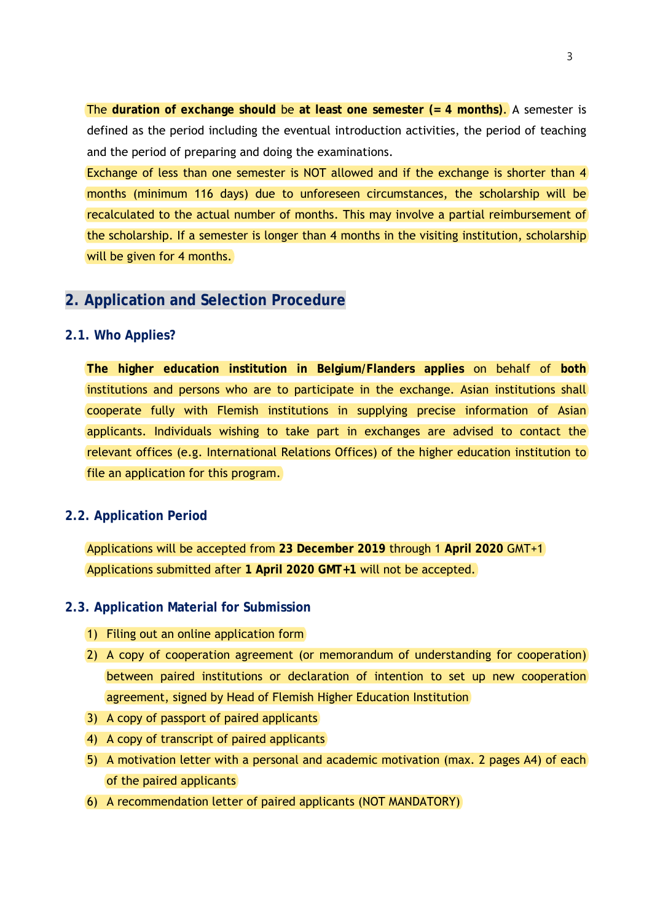The **duration of exchange should** be **at least one semester (= 4 months)**. A semester is defined as the period including the eventual introduction activities, the period of teaching and the period of preparing and doing the examinations.

Exchange of less than one semester is NOT allowed and if the exchange is shorter than 4 months (minimum 116 days) due to unforeseen circumstances, the scholarship will be recalculated to the actual number of months. This may involve a partial reimbursement of the scholarship. If a semester is longer than 4 months in the visiting institution, scholarship will be given for 4 months.

# **2. Application and Selection Procedure**

## **2.1. Who Applies?**

**The higher education institution in Belgium/Flanders applies** on behalf of **both** institutions and persons who are to participate in the exchange. Asian institutions shall cooperate fully with Flemish institutions in supplying precise information of Asian applicants. Individuals wishing to take part in exchanges are advised to contact the relevant offices (e.g. International Relations Offices) of the higher education institution to file an application for this program.

# **2.2. Application Period**

Applications will be accepted from **23 December 2019** through 1 **April 2020** GMT+1 Applications submitted after **1 April 2020 GMT+1** will not be accepted.

## **2.3. Application Material for Submission**

- 1) Filing out an online application form
- 2) A copy of cooperation agreement (or memorandum of understanding for cooperation) between paired institutions or declaration of intention to set up new cooperation agreement, signed by Head of Flemish Higher Education Institution
- 3) A copy of passport of paired applicants
- 4) A copy of transcript of paired applicants
- 5) A motivation letter with a personal and academic motivation (max. 2 pages A4) of each of the paired applicants
- 6) A recommendation letter of paired applicants (NOT MANDATORY)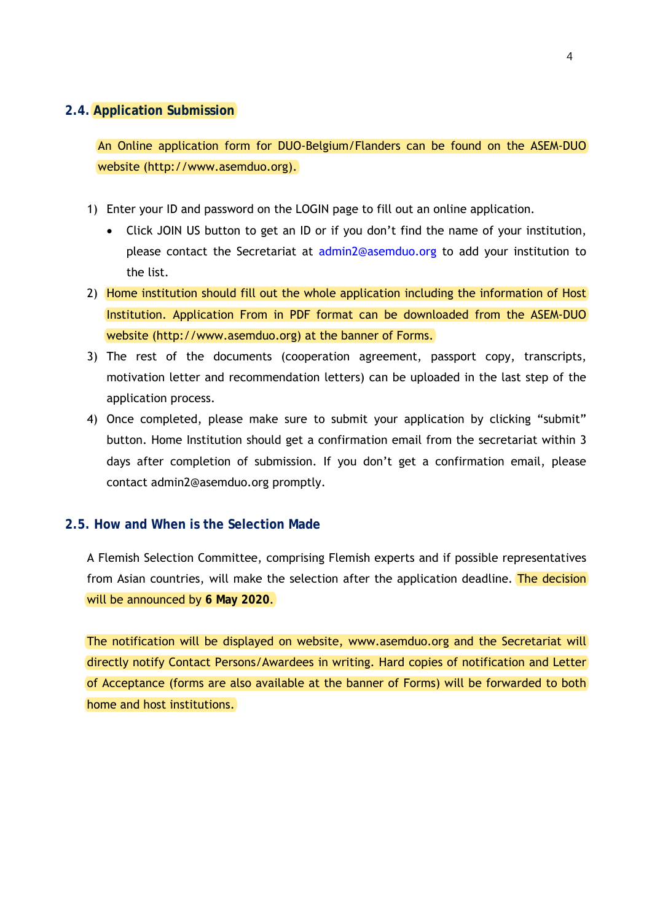#### **2.4. Application Submission**

An Online application form for DUO-Belgium/Flanders can be found on the ASEM-DUO website (http://www.asemduo.org).

- 1) Enter your ID and password on the LOGIN page to fill out an online application.
	- Click JOIN US button to get an ID or if you don't find the name of your institution, please contact the Secretariat at admin2@asemduo.org to add your institution to the list.
- 2) Home institution should fill out the whole application including the information of Host Institution. Application From in PDF format can be downloaded from the ASEM-DUO website (http://www.asemduo.org) at the banner of Forms.
- 3) The rest of the documents (cooperation agreement, passport copy, transcripts, motivation letter and recommendation letters) can be uploaded in the last step of the application process.
- 4) Once completed, please make sure to submit your application by clicking "submit" button. Home Institution should get a confirmation email from the secretariat within 3 days after completion of submission. If you don't get a confirmation email, please contact admin2@asemduo.org promptly.

## **2.5. How and When is the Selection Made**

A Flemish Selection Committee, comprising Flemish experts and if possible representatives from Asian countries, will make the selection after the application deadline. The decision will be announced by **6 May 2020**.

The notification will be displayed on website, www.asemduo.org and the Secretariat will directly notify Contact Persons/Awardees in writing. Hard copies of notification and Letter of Acceptance (forms are also available at the banner of Forms) will be forwarded to both home and host institutions.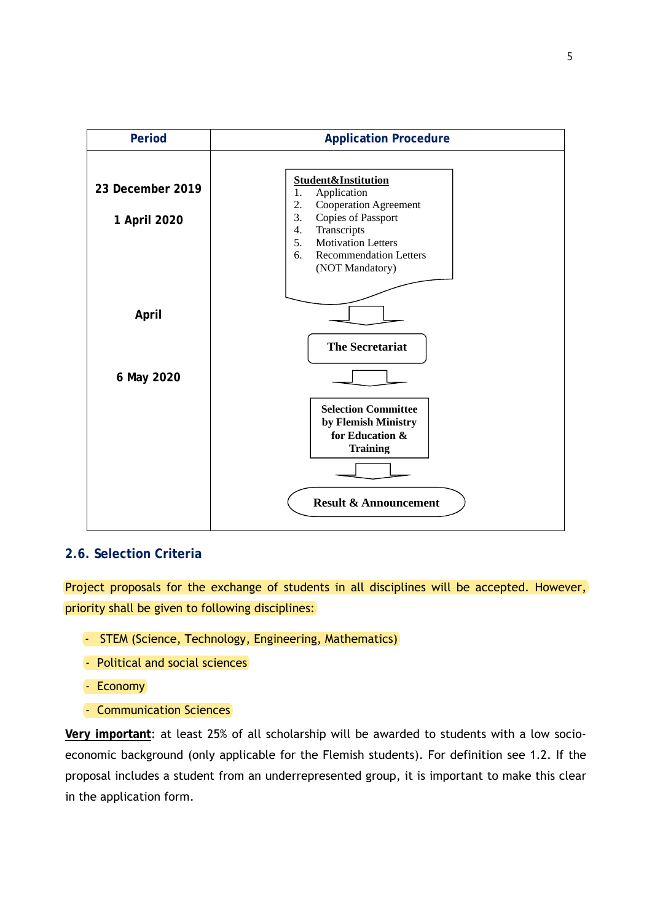

# **2.6. Selection Criteria**

Project proposals for the exchange of students in all disciplines will be accepted. However, priority shall be given to following disciplines:

- STEM (Science, Technology, Engineering, Mathematics)
- Political and social sciences
- Economy
- Communication Sciences

**Very important**: at least 25% of all scholarship will be awarded to students with a low socioeconomic background (only applicable for the Flemish students). For definition see 1.2. If the proposal includes a student from an underrepresented group, it is important to make this clear in the application form.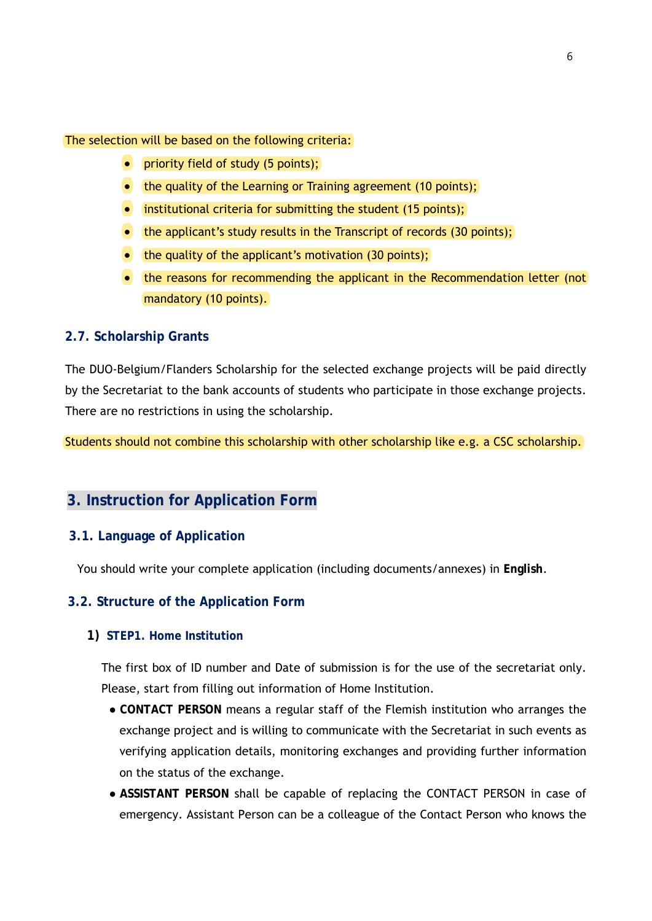The selection will be based on the following criteria:

- **•** priority field of study (5 points);
- $\bullet$  the quality of the Learning or Training agreement (10 points);
- $\bullet$  institutional criteria for submitting the student (15 points);
- $\bullet$  the applicant's study results in the Transcript of records (30 points);
- $\bullet$  the quality of the applicant's motivation (30 points);
- the reasons for recommending the applicant in the Recommendation letter (not mandatory (10 points).

#### **2.7. Scholarship Grants**

The DUO-Belgium/Flanders Scholarship for the selected exchange projects will be paid directly by the Secretariat to the bank accounts of students who participate in those exchange projects. There are no restrictions in using the scholarship.

Students should not combine this scholarship with other scholarship like e.g. a CSC scholarship.

# **3. Instruction for Application Form**

## **3.1. Language of Application**

You should write your complete application (including documents/annexes) in **English**.

#### **3.2. Structure of the Application Form**

#### **1) STEP1. Home Institution**

The first box of ID number and Date of submission is for the use of the secretariat only. Please, start from filling out information of Home Institution.

- **CONTACT PERSON** means a regular staff of the Flemish institution who arranges the exchange project and is willing to communicate with the Secretariat in such events as verifying application details, monitoring exchanges and providing further information on the status of the exchange.
- **ASSISTANT PERSON** shall be capable of replacing the CONTACT PERSON in case of emergency. Assistant Person can be a colleague of the Contact Person who knows the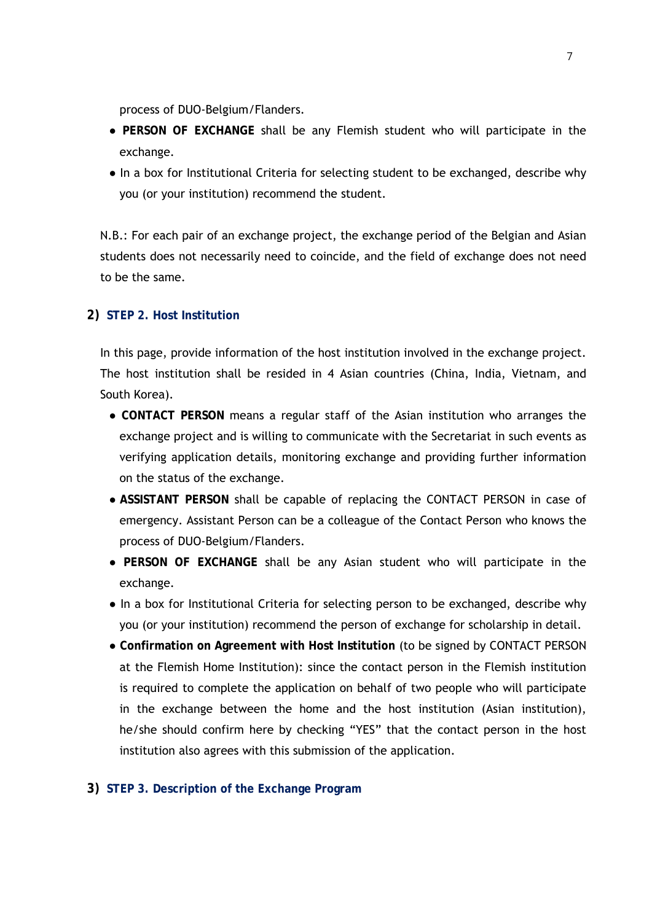process of DUO-Belgium/Flanders.

- **PERSON OF EXCHANGE** shall be any Flemish student who will participate in the exchange.
- In a box for Institutional Criteria for selecting student to be exchanged, describe why you (or your institution) recommend the student.

N.B.: For each pair of an exchange project, the exchange period of the Belgian and Asian students does not necessarily need to coincide, and the field of exchange does not need to be the same.

# **2) STEP 2. Host Institution**

In this page, provide information of the host institution involved in the exchange project. The host institution shall be resided in 4 Asian countries (China, India, Vietnam, and South Korea).

- **CONTACT PERSON** means a regular staff of the Asian institution who arranges the exchange project and is willing to communicate with the Secretariat in such events as verifying application details, monitoring exchange and providing further information on the status of the exchange.
- **ASSISTANT PERSON** shall be capable of replacing the CONTACT PERSON in case of emergency. Assistant Person can be a colleague of the Contact Person who knows the process of DUO-Belgium/Flanders.
- **PERSON OF EXCHANGE** shall be any Asian student who will participate in the exchange.
- In a box for Institutional Criteria for selecting person to be exchanged, describe why you (or your institution) recommend the person of exchange for scholarship in detail.
- **Confirmation on Agreement with Host Institution** (to be signed by CONTACT PERSON at the Flemish Home Institution): since the contact person in the Flemish institution is required to complete the application on behalf of two people who will participate in the exchange between the home and the host institution (Asian institution), he/she should confirm here by checking "YES" that the contact person in the host institution also agrees with this submission of the application.

## **3) STEP 3. Description of the Exchange Program**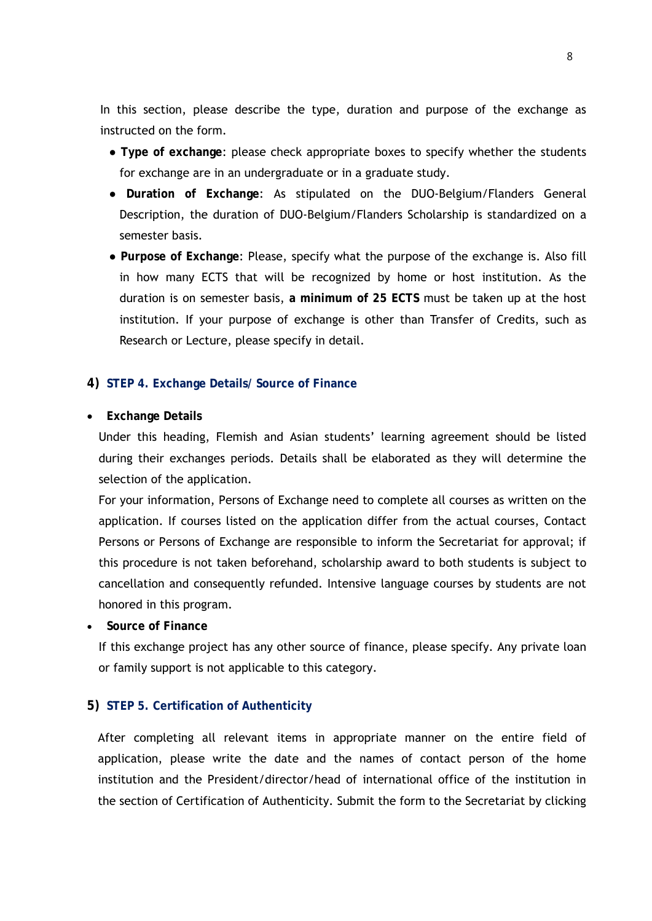In this section, please describe the type, duration and purpose of the exchange as instructed on the form.

- **Type of exchange**: please check appropriate boxes to specify whether the students for exchange are in an undergraduate or in a graduate study.
- **Duration of Exchange**: As stipulated on the DUO-Belgium/Flanders General Description, the duration of DUO-Belgium/Flanders Scholarship is standardized on a semester basis.
- **Purpose of Exchange**: Please, specify what the purpose of the exchange is. Also fill in how many ECTS that will be recognized by home or host institution. As the duration is on semester basis, **a minimum of 25 ECTS** must be taken up at the host institution. If your purpose of exchange is other than Transfer of Credits, such as Research or Lecture, please specify in detail.

## **4) STEP 4. Exchange Details/ Source of Finance**

**Exchange Details**

Under this heading, Flemish and Asian students' learning agreement should be listed during their exchanges periods. Details shall be elaborated as they will determine the selection of the application.

For your information, Persons of Exchange need to complete all courses as written on the application. If courses listed on the application differ from the actual courses, Contact Persons or Persons of Exchange are responsible to inform the Secretariat for approval; if this procedure is not taken beforehand, scholarship award to both students is subject to cancellation and consequently refunded. Intensive language courses by students are not honored in this program.

**Source of Finance**

If this exchange project has any other source of finance, please specify. Any private loan or family support is not applicable to this category.

## **5) STEP 5. Certification of Authenticity**

After completing all relevant items in appropriate manner on the entire field of application, please write the date and the names of contact person of the home institution and the President/director/head of international office of the institution in the section of Certification of Authenticity. Submit the form to the Secretariat by clicking